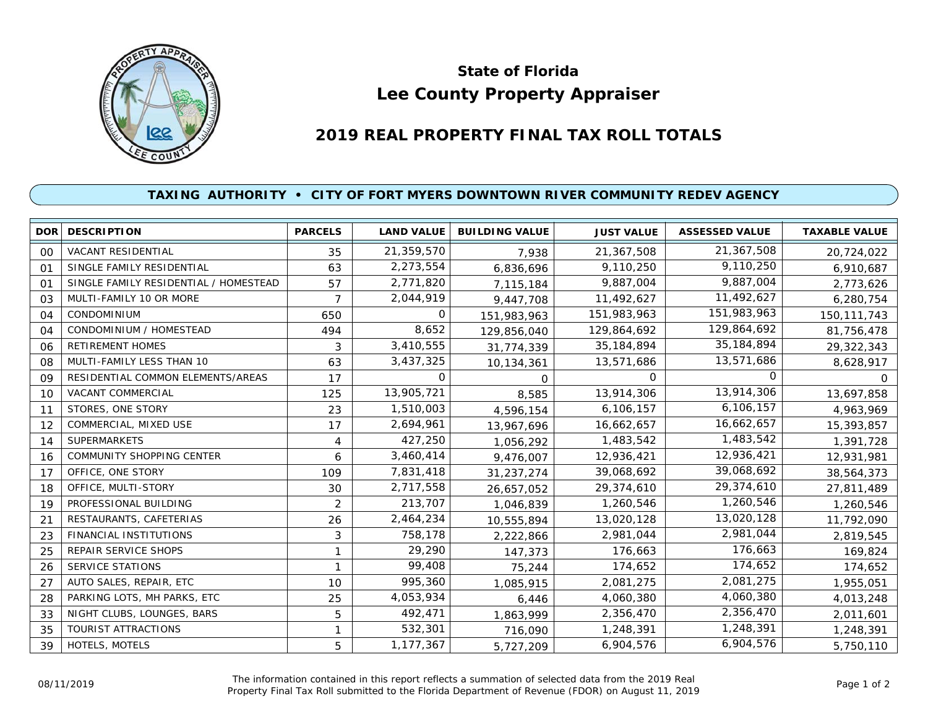

## **Lee County Property Appraiser State of Florida**

## **2019 REAL PROPERTY FINAL TAX ROLL TOTALS**

## **TAXING AUTHORITY • CITY OF FORT MYERS DOWNTOWN RIVER COMMUNITY REDEV AGENCY**

| DOR I          | <b>DESCRIPTION</b>                    | <b>PARCELS</b> | <b>LAND VALUE</b> | <b>BUILDING VALUE</b> | <b>JUST VALUE</b> | <b>ASSESSED VALUE</b> | <b>TAXABLE VALUE</b> |
|----------------|---------------------------------------|----------------|-------------------|-----------------------|-------------------|-----------------------|----------------------|
| 00             | <b>VACANT RESIDENTIAL</b>             | 35             | 21,359,570        | 7,938                 | 21,367,508        | 21,367,508            | 20,724,022           |
| 01             | SINGLE FAMILY RESIDENTIAL             | 63             | 2,273,554         | 6,836,696             | 9,110,250         | 9,110,250             | 6,910,687            |
| O <sub>1</sub> | SINGLE FAMILY RESIDENTIAL / HOMESTEAD | 57             | 2,771,820         | 7,115,184             | 9,887,004         | 9,887,004             | 2,773,626            |
| 03             | MULTI-FAMILY 10 OR MORE               | $\overline{7}$ | 2,044,919         | 9,447,708             | 11,492,627        | 11,492,627            | 6,280,754            |
| 04             | <b>CONDOMINIUM</b>                    | 650            | O                 | 151,983,963           | 151,983,963       | 151,983,963           | 150, 111, 743        |
| 04             | CONDOMINIUM / HOMESTEAD               | 494            | 8,652             | 129,856,040           | 129,864,692       | 129,864,692           | 81,756,478           |
| 06             | <b>RETIREMENT HOMES</b>               | 3              | 3,410,555         | 31,774,339            | 35, 184, 894      | 35, 184, 894          | 29,322,343           |
| 08             | MULTI-FAMILY LESS THAN 10             | 63             | 3,437,325         | 10,134,361            | 13,571,686        | 13,571,686            | 8,628,917            |
| 09             | RESIDENTIAL COMMON ELEMENTS/AREAS     | 17             | O                 | $\Omega$              | 0                 | <sup>o</sup>          | $\Omega$             |
| 10             | VACANT COMMERCIAL                     | 125            | 13,905,721        | 8,585                 | 13,914,306        | 13,914,306            | 13,697,858           |
| 11             | STORES, ONE STORY                     | 23             | 1,510,003         | 4,596,154             | 6,106,157         | 6,106,157             | 4,963,969            |
| 12             | COMMERCIAL, MIXED USE                 | 17             | 2,694,961         | 13,967,696            | 16,662,657        | 16,662,657            | 15,393,857           |
| 14             | <b>SUPERMARKETS</b>                   | 4              | 427,250           | 1,056,292             | 1,483,542         | 1,483,542             | 1,391,728            |
| 16             | COMMUNITY SHOPPING CENTER             | 6              | 3,460,414         | 9,476,007             | 12,936,421        | 12,936,421            | 12,931,981           |
| 17             | OFFICE, ONE STORY                     | 109            | 7,831,418         | 31,237,274            | 39,068,692        | 39,068,692            | 38,564,373           |
| 18             | OFFICE, MULTI-STORY                   | 30             | 2,717,558         | 26,657,052            | 29,374,610        | 29,374,610            | 27,811,489           |
| 19             | PROFESSIONAL BUILDING                 | $\overline{2}$ | 213,707           | 1,046,839             | 1,260,546         | 1,260,546             | 1,260,546            |
| 21             | RESTAURANTS, CAFETERIAS               | 26             | 2,464,234         | 10,555,894            | 13,020,128        | 13,020,128            | 11,792,090           |
| 23             | <b>FINANCIAL INSTITUTIONS</b>         | 3              | 758,178           | 2,222,866             | 2,981,044         | 2,981,044             | 2,819,545            |
| 25             | <b>REPAIR SERVICE SHOPS</b>           | 1              | 29,290            | 147,373               | 176,663           | 176,663               | 169,824              |
| 26             | SERVICE STATIONS                      | 1              | 99,408            | 75,244                | 174,652           | 174,652               | 174,652              |
| 27             | AUTO SALES, REPAIR, ETC               | 10             | 995,360           | 1,085,915             | 2,081,275         | 2,081,275             | 1,955,051            |
| 28             | PARKING LOTS, MH PARKS, ETC           | 25             | 4,053,934         | 6,446                 | 4,060,380         | 4,060,380             | 4,013,248            |
| 33             | NIGHT CLUBS, LOUNGES, BARS            | 5              | 492,471           | 1,863,999             | 2,356,470         | 2,356,470             | 2,011,601            |
| 35             | TOURIST ATTRACTIONS                   | 1              | 532,301           | 716,090               | 1,248,391         | 1,248,391             | 1,248,391            |
| 39             | HOTELS, MOTELS                        | 5              | 1,177,367         | 5,727,209             | 6,904,576         | 6,904,576             | 5,750,110            |